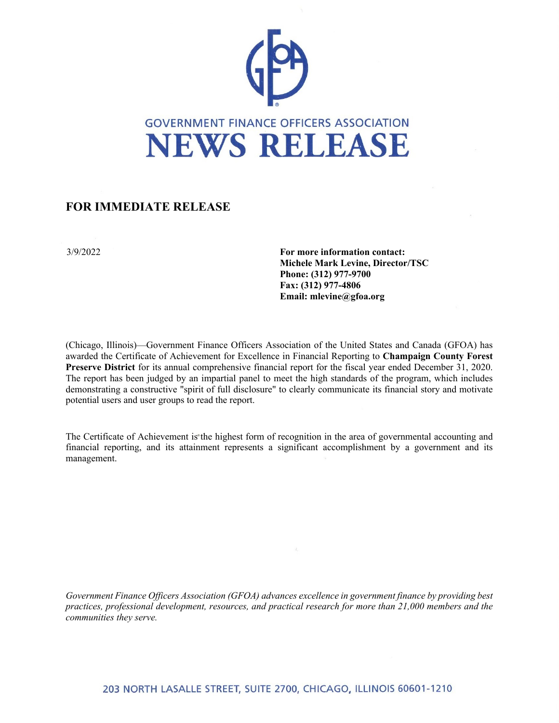

## **FOR IMMEDIATE RELEASE**

3/9/2022 **For more information contact: Michele Mark Levine, Director/TSC Phone: (312) 977-9700 Fax: (312) 977-4806 Email: mlevine@gfoa.org**

(Chicago, Illinois)—Government Finance Officers Association of the United States and Canada (GFOA) has awarded the Certificate of Achievement for Excellence in Financial Reporting to **Champaign County Forest Preserve District** for its annual comprehensive financial report for the fiscal year ended December 31, 2020. The report has been judged by an impartial panel to meet the high standards of the program, which includes demonstrating a constructive "spirit of full disclosure" to clearly communicate its financial story and motivate potential users and user groups to read the report.

The Certificate of Achievement is the highest form of recognition in the area of governmental accounting and financial reporting, and its attainment represents a significant accomplishment by a government and its management.

*Government Finance Officers Association (GFOA) advances excellence in government finance by providing best practices, professional development, resources, and practical research for more than 21,000 members and the communities they serve.*